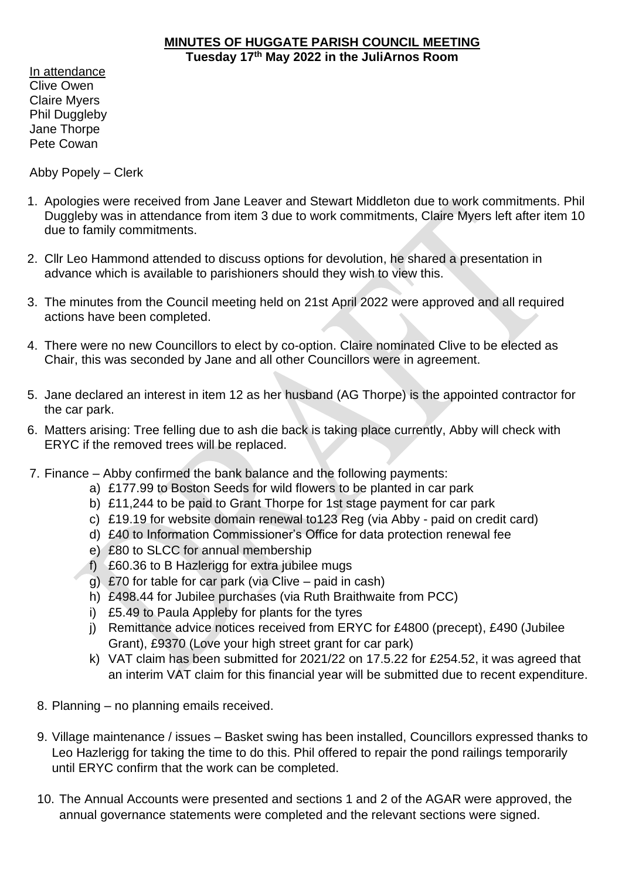## **MINUTES OF HUGGATE PARISH COUNCIL MEETING Tuesday 17th May 2022 in the JuliArnos Room**

In attendance Clive Owen Claire Myers Phil Duggleby Jane Thorpe Pete Cowan

Abby Popely – Clerk

- 1. Apologies were received from Jane Leaver and Stewart Middleton due to work commitments. Phil Duggleby was in attendance from item 3 due to work commitments, Claire Myers left after item 10 due to family commitments.
- 2. Cllr Leo Hammond attended to discuss options for devolution, he shared a presentation in advance which is available to parishioners should they wish to view this.
- 3. The minutes from the Council meeting held on 21st April 2022 were approved and all required actions have been completed.
- 4. There were no new Councillors to elect by co-option. Claire nominated Clive to be elected as Chair, this was seconded by Jane and all other Councillors were in agreement.
- 5. Jane declared an interest in item 12 as her husband (AG Thorpe) is the appointed contractor for the car park.
- 6. Matters arising: Tree felling due to ash die back is taking place currently, Abby will check with ERYC if the removed trees will be replaced.
- 7. Finance Abby confirmed the bank balance and the following payments:
	- a) £177.99 to Boston Seeds for wild flowers to be planted in car park
	- b) £11,244 to be paid to Grant Thorpe for 1st stage payment for car park
	- c) £19.19 for website domain renewal to123 Reg (via Abby paid on credit card)
	- d) £40 to Information Commissioner's Office for data protection renewal fee
	- e) £80 to SLCC for annual membership
	- f) £60.36 to B Hazlerigg for extra jubilee mugs
	- g) £70 for table for car park (via Clive paid in cash)
	- h) £498.44 for Jubilee purchases (via Ruth Braithwaite from PCC)
	- i) £5.49 to Paula Appleby for plants for the tyres
	- j) Remittance advice notices received from ERYC for £4800 (precept), £490 (Jubilee Grant), £9370 (Love your high street grant for car park)
	- k) VAT claim has been submitted for 2021/22 on 17.5.22 for £254.52, it was agreed that an interim VAT claim for this financial year will be submitted due to recent expenditure.
	- 8. Planning no planning emails received.
	- 9. Village maintenance / issues Basket swing has been installed, Councillors expressed thanks to Leo Hazlerigg for taking the time to do this. Phil offered to repair the pond railings temporarily until ERYC confirm that the work can be completed.
	- 10. The Annual Accounts were presented and sections 1 and 2 of the AGAR were approved, the annual governance statements were completed and the relevant sections were signed.